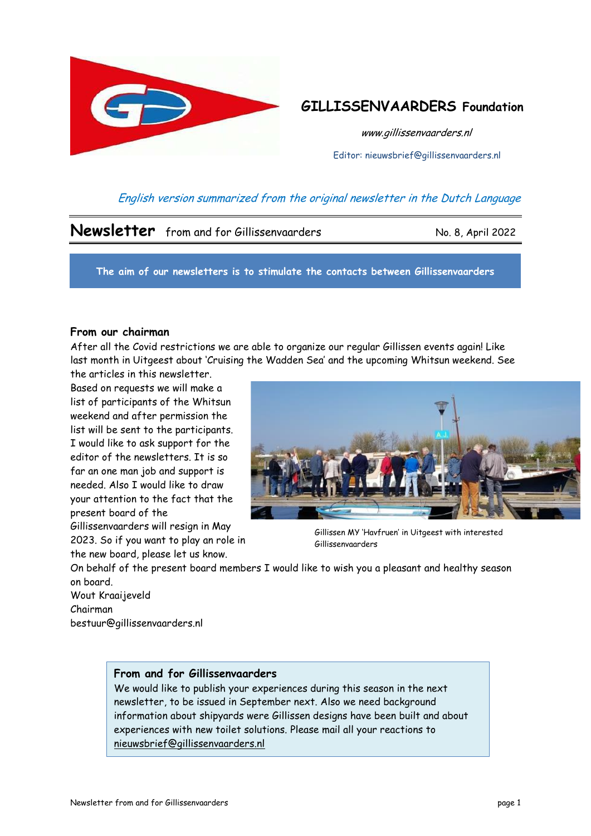

# **GILLISSENVAARDERS Foundation**

www.gillissenvaarders.nl

Editor: nieuwsbrief@gillissenvaarders.nl

## English version summarized from the original newsletter in the Dutch Language

## **Newsletter** from and for Gillissenvaarders No. 8, April 2022

**The aim of our newsletters is to stimulate the contacts between Gillissenvaarders**

### **From our chairman**

After all the Covid restrictions we are able to organize our regular Gillissen events again! Like last month in Uitgeest about 'Cruising the Wadden Sea' and the upcoming Whitsun weekend. See

the articles in this newsletter. Based on requests we will make a list of participants of the Whitsun weekend and after permission the list will be sent to the participants. I would like to ask support for the editor of the newsletters. It is so far an one man job and support is needed. Also I would like to draw your attention to the fact that the present board of the Gillissenvaarders will resign in May

2023. So if you want to play an role in the new board, please let us know.



Gillissen MY 'Havfruen' in Uitgeest with interested Gillissenvaarders

On behalf of the present board members I would like to wish you a pleasant and healthy season on board.

Wout Kraaijeveld Chairman bestuur@gillissenvaarders.nl

### **From and for Gillissenvaarders**

We would like to publish your experiences during this season in the next newsletter, to be issued in September next. Also we need background information about shipyards were Gillissen designs have been built and about experiences with new toilet solutions. Please mail all your reactions to [nieuwsbrief@gillissenvaarders.nl](mailto:nieuwsbrief@gillissenvaarders.nl)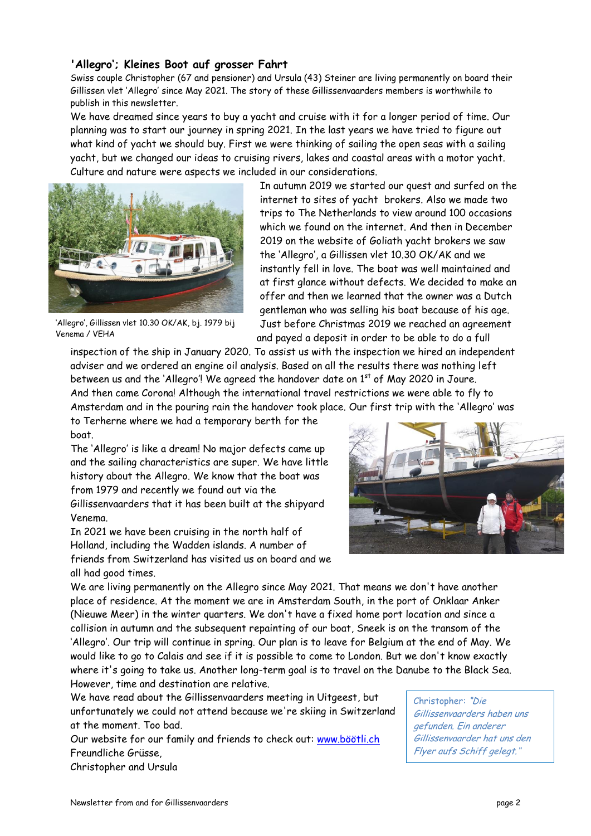### **'Allegro'; Kleines Boot auf grosser Fahrt**

Swiss couple Christopher (67 and pensioner) and Ursula (43) Steiner are living permanently on board their Gillissen vlet 'Allegro' since May 2021. The story of these Gillissenvaarders members is worthwhile to publish in this newsletter.

We have dreamed since years to buy a yacht and cruise with it for a longer period of time. Our planning was to start our journey in spring 2021. In the last years we have tried to figure out what kind of yacht we should buy. First we were thinking of sailing the open seas with a sailing yacht, but we changed our ideas to cruising rivers, lakes and coastal areas with a motor yacht. Culture and nature were aspects we included in our considerations.



'Allegro', Gillissen vlet 10.30 OK/AK, bj. 1979 bij Venema / VEHA

In autumn 2019 we started our quest and surfed on the internet to sites of yacht brokers. Also we made two trips to The Netherlands to view around 100 occasions which we found on the internet. And then in December 2019 on the website of Goliath yacht brokers we saw the 'Allegro', a Gillissen vlet 10.30 OK/AK and we instantly fell in love. The boat was well maintained and at first glance without defects. We decided to make an offer and then we learned that the owner was a Dutch gentleman who was selling his boat because of his age. Just before Christmas 2019 we reached an agreement and payed a deposit in order to be able to do a full

inspection of the ship in January 2020. To assist us with the inspection we hired an independent adviser and we ordered an engine oil analysis. Based on all the results there was nothing left between us and the 'Allegro'! We agreed the handover date on  $1<sup>st</sup>$  of May 2020 in Joure. And then came Corona! Although the international travel restrictions we were able to fly to Amsterdam and in the pouring rain the handover took place. Our first trip with the 'Allegro' was

to Terherne where we had a temporary berth for the boat.

The 'Allegro' is like a dream! No major defects came up and the sailing characteristics are super. We have little history about the Allegro. We know that the boat was from 1979 and recently we found out via the Gillissenvaarders that it has been built at the shipyard Venema.

In 2021 we have been cruising in the north half of Holland, including the Wadden islands. A number of friends from Switzerland has visited us on board and we all had good times.



We are living permanently on the Allegro since May 2021. That means we don't have another place of residence. At the moment we are in Amsterdam South, in the port of Onklaar Anker (Nieuwe Meer) in the winter quarters. We don't have a fixed home port location and since a collision in autumn and the subsequent repainting of our boat, Sneek is on the transom of the 'Allegro'. Our trip will continue in spring. Our plan is to leave for Belgium at the end of May. We would like to go to Calais and see if it is possible to come to London. But we don't know exactly where it's going to take us. Another long-term goal is to travel on the Danube to the Black Sea. However, time and destination are relative.

We have read about the Gillissenvaarders meeting in Uitgeest, but unfortunately we could not attend because we're skiing in Switzerland at the moment. Too bad.

Our website for our family and friends to check out: [www.böötli.ch](http://www.böötli.ch/) Freundliche Grüsse,

Christopher and Ursula

Christopher: "Die Gillissenvaarders haben uns gefunden. Ein anderer Gillissenvaarder hat uns den Flyer aufs Schiff gelegt."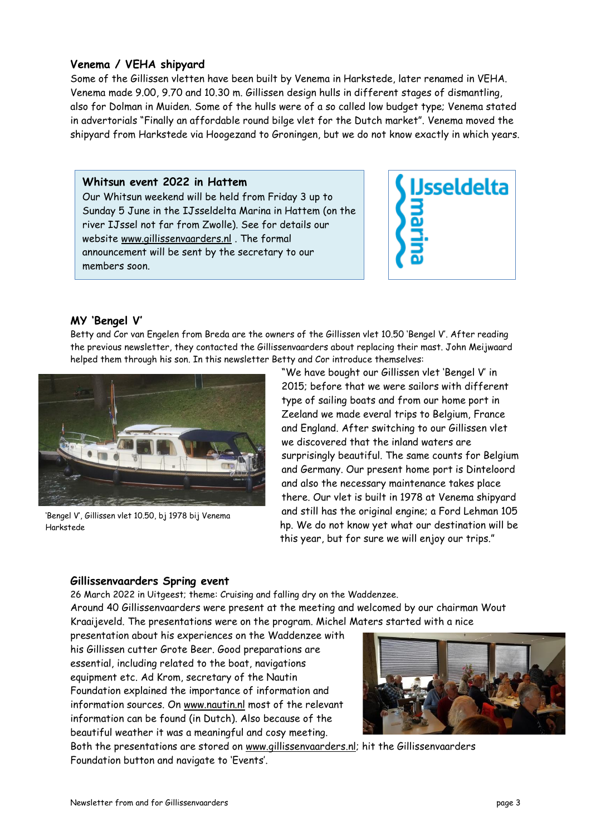### **Venema / VEHA shipyard**

Some of the Gillissen vletten have been built by Venema in Harkstede, later renamed in VEHA. Venema made 9.00, 9.70 and 10.30 m. Gillissen design hulls in different stages of dismantling, also for Dolman in Muiden. Some of the hulls were of a so called low budget type; Venema stated in advertorials "Finally an affordable round bilge vlet for the Dutch market". Venema moved the shipyard from Harkstede via Hoogezand to Groningen, but we do not know exactly in which years.

### **Whitsun event 2022 in Hattem**

Our Whitsun weekend will be held from Friday 3 up to Sunday 5 June in the IJsseldelta Marina in Hattem (on the river IJssel not far from Zwolle). See for details our website [www.gillissenvaarders.nl](http://www.gillissenvaarders.nl/) . The formal announcement will be sent by the secretary to our members soon.



### **MY 'Bengel V'**

Betty and Cor van Engelen from Breda are the owners of the Gillissen vlet 10.50 'Bengel V'. After reading the previous newsletter, they contacted the Gillissenvaarders about replacing their mast. John Meijwaard helped them through his son. In this newsletter Betty and Cor introduce themselves:



'Bengel V', Gillissen vlet 10.50, bj 1978 bij Venema Harkstede

"We have bought our Gillissen vlet 'Bengel V' in 2015; before that we were sailors with different type of sailing boats and from our home port in Zeeland we made everal trips to Belgium, France and England. After switching to our Gillissen vlet we discovered that the inland waters are surprisingly beautiful. The same counts for Belgium and Germany. Our present home port is Dinteloord and also the necessary maintenance takes place there. Our vlet is built in 1978 at Venema shipyard and still has the original engine; a Ford Lehman 105 hp. We do not know yet what our destination will be this year, but for sure we will enjoy our trips."

### **Gillissenvaarders Spring event**

26 March 2022 in Uitgeest; theme: Cruising and falling dry on the Waddenzee. Around 40 Gillissenvaarders were present at the meeting and welcomed by our chairman Wout Kraaijeveld. The presentations were on the program. Michel Maters started with a nice

presentation about his experiences on the Waddenzee with his Gillissen cutter Grote Beer. Good preparations are essential, including related to the boat, navigations equipment etc. Ad Krom, secretary of the Nautin Foundation explained the importance of information and information sources. On [www.nautin.nl](http://www.nautin.nl/) most of the relevant information can be found (in Dutch). Also because of the beautiful weather it was a meaningful and cosy meeting.



Both the presentations are stored on [www.gillissenvaarders.nl;](http://www.gillissenvaarders.nl/) hit the Gillissenvaarders Foundation button and navigate to 'Events'.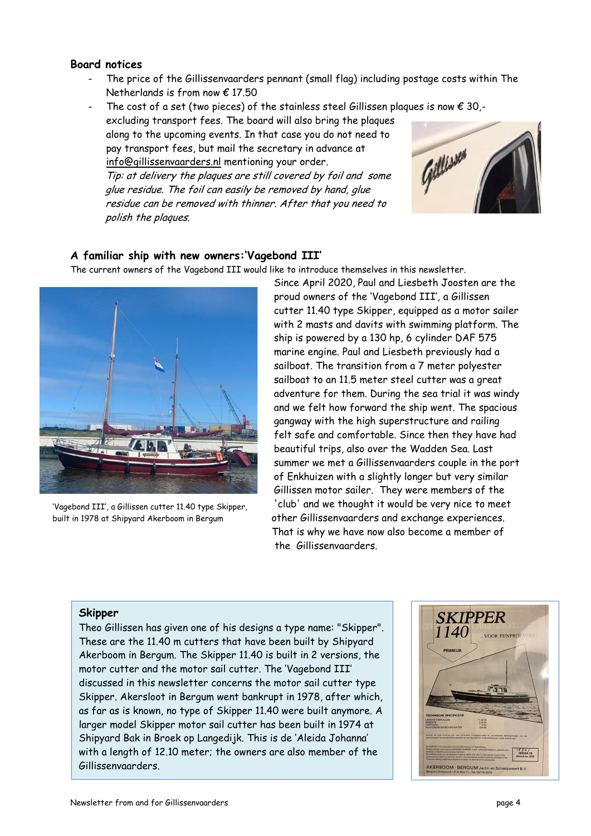### **Board notices**

The price of the Gillissenvaarders pennant (small flag) including postage costs within The Netherlands is from now  $\epsilon$  17.50

The cost of a set (two pieces) of the stainless steel Gillissen plaques is now  $\epsilon$  30,-

excluding transport fees. The board will also bring the plaques along to the upcoming events. In that case you do not need to pay transport fees, but mail the secretary in advance at [info@gillissenvaarders.nl](mailto:info@gillissenvaarders.nl) mentioning your order.

Tip: at delivery the plaques are still covered by foil and some glue residue. The foil can easily be removed by hand, glue residue can be removed with thinner. After that you need to polish the plaques.



### **A familiar ship with new owners:'Vagebond III'**

The current owners of the Vagebond III would like to introduce themselves in this newsletter.



'Vagebond III', a Gillissen cutter 11.40 type Skipper, built in 1978 at Shipyard Akerboom in Bergum

Since April 2020, Paul and Liesbeth Joosten are the proud owners of the 'Vagebond III', a Gillissen cutter 11.40 type Skipper, equipped as a motor sailer with 2 masts and davits with swimming platform. The ship is powered by a 130 hp, 6 cylinder DAF 575 marine engine. Paul and Liesbeth previously had a sailboat. The transition from a 7 meter polyester sailboat to an 11.5 meter steel cutter was a great adventure for them. During the sea trial it was windy and we felt how forward the ship went. The spacious gangway with the high superstructure and railing felt safe and comfortable. Since then they have had beautiful trips, also over the Wadden Sea. Last summer we met a Gillissenvaarders couple in the port of Enkhuizen with a slightly longer but very similar Gillissen motor sailer. They were members of the 'club' and we thought it would be very nice to meet other Gillissenvaarders and exchange experiences. That is why we have now also become a member of the Gillissenvaarders.

#### **Skipper**

Theo Gillissen has given one of his designs a type name: "Skipper". These are the 11.40 m cutters that have been built by Shipyard Akerboom in Bergum. The Skipper 11.40 is built in 2 versions, the motor cutter and the motor sail cutter. The 'Vagebond III' discussed in this newsletter concerns the motor sail cutter type Skipper. Akersloot in Bergum went bankrupt in 1978, after which, as far as is known, no type of Skipper 11.40 were built anymore. A larger model Skipper motor sail cutter has been built in 1974 at Shipyard Bak in Broek op Langedijk. This is de 'Aleida Johanna' with a length of 12.10 meter; the owners are also member of the Gillissenvaarders.